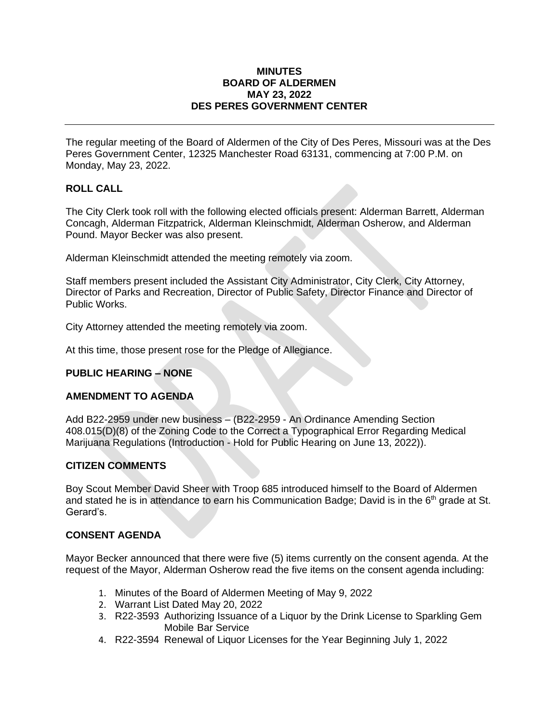#### **MINUTES BOARD OF ALDERMEN MAY 23, 2022 DES PERES GOVERNMENT CENTER**

The regular meeting of the Board of Aldermen of the City of Des Peres, Missouri was at the Des Peres Government Center, 12325 Manchester Road 63131, commencing at 7:00 P.M. on Monday, May 23, 2022.

# **ROLL CALL**

The City Clerk took roll with the following elected officials present: Alderman Barrett, Alderman Concagh, Alderman Fitzpatrick, Alderman Kleinschmidt, Alderman Osherow, and Alderman Pound. Mayor Becker was also present.

Alderman Kleinschmidt attended the meeting remotely via zoom.

Staff members present included the Assistant City Administrator, City Clerk, City Attorney, Director of Parks and Recreation, Director of Public Safety, Director Finance and Director of Public Works.

City Attorney attended the meeting remotely via zoom.

At this time, those present rose for the Pledge of Allegiance.

# **PUBLIC HEARING – NONE**

# **AMENDMENT TO AGENDA**

Add B22-2959 under new business – (B22-2959 - An Ordinance Amending Section 408.015(D)(8) of the Zoning Code to the Correct a Typographical Error Regarding Medical Marijuana Regulations (Introduction - Hold for Public Hearing on June 13, 2022)).

# **CITIZEN COMMENTS**

Boy Scout Member David Sheer with Troop 685 introduced himself to the Board of Aldermen and stated he is in attendance to earn his Communication Badge; David is in the  $6<sup>th</sup>$  grade at St. Gerard's.

# **CONSENT AGENDA**

Mayor Becker announced that there were five (5) items currently on the consent agenda. At the request of the Mayor, Alderman Osherow read the five items on the consent agenda including:

- 1. [Minutes](https://www.desperesmo.org/DocumentCenter/View/22174/05-09-2022-Draft-Alderman-Meeting-Minutes) of the Board of Aldermen Meeting of May 9, 2022
- 2. [Warrant List](https://www.desperesmo.org/DocumentCenter/View/22184/WARRENT-LIST_001) Dated May 20, 2022
- 3. [R22-3593](https://www.desperesmo.org/DocumentCenter/View/22175/1-R22-3593-Liquor-By-The-Drink-Catering-Sparkling-Gem) Authorizing Issuance of a Liquor by the Drink License to Sparkling Gem Mobile Bar Service
- 4. [R22-3594](https://www.desperesmo.org/DocumentCenter/View/22176/4--R22-3594-Liquor-License-Renewal-712022) Renewal of Liquor Licenses for the Year Beginning July 1, 2022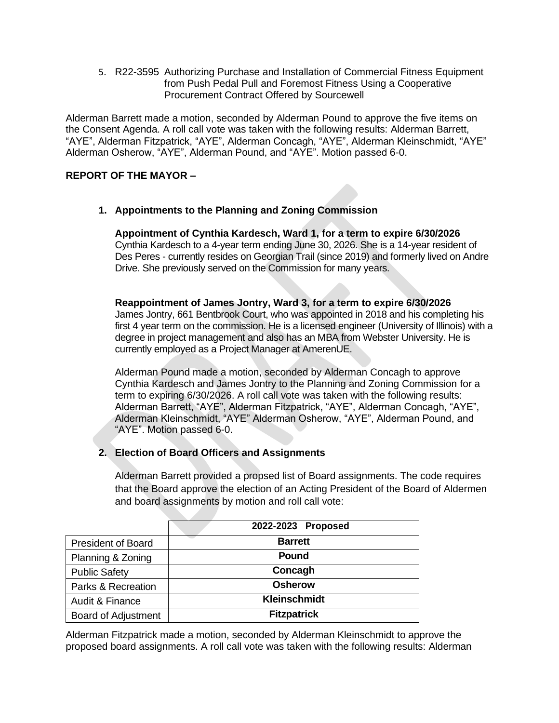5. [R22-3595](https://www.desperesmo.org/DocumentCenter/View/22177/1--R22-3595-Sourcewell-Fitness-Equipment-at-The-Lodge) Authorizing Purchase and Installation of Commercial Fitness Equipment from Push Pedal Pull and Foremost Fitness Using a Cooperative Procurement Contract Offered by Sourcewell

Alderman Barrett made a motion, seconded by Alderman Pound to approve the five items on the Consent Agenda. A roll call vote was taken with the following results: Alderman Barrett, "AYE", Alderman Fitzpatrick, "AYE", Alderman Concagh, "AYE", Alderman Kleinschmidt, "AYE" Alderman Osherow, "AYE", Alderman Pound, and "AYE". Motion passed 6-0.

# **REPORT OF THE MAYOR –**

**1. Appointments to the Planning and Zoning Commission**

**Appointment of Cynthia Kardesch, Ward 1, for a term to expire 6/30/2026** Cynthia Kardesch to a 4-year term ending June 30, 2026. She is a 14-year resident of Des Peres - currently resides on Georgian Trail (since 2019) and formerly lived on Andre Drive. She previously served on the Commission for many years.

**Reappointment of James Jontry, Ward 3, for a term to expire 6/30/2026**

James Jontry, 661 Bentbrook Court, who was appointed in 2018 and his completing his first 4 year term on the commission. He is a licensed engineer (University of Illinois) with a degree in project management and also has an MBA from Webster University. He is currently employed as a Project Manager at AmerenUE.

Alderman Pound made a motion, seconded by Alderman Concagh to approve Cynthia Kardesch and James Jontry to the Planning and Zoning Commission for a term to expiring 6/30/2026. A roll call vote was taken with the following results: Alderman Barrett, "AYE", Alderman Fitzpatrick, "AYE", Alderman Concagh, "AYE", Alderman Kleinschmidt, "AYE" Alderman Osherow, "AYE", Alderman Pound, and "AYE". Motion passed 6-0.

# **2. Election of Board Officers and Assignments**

Alderman Barrett provided a propsed list of Board assignments. The code requires that the Board approve the election of an Acting President of the Board of Aldermen and board assignments by motion and roll call vote:

|                            | 2022-2023 Proposed  |
|----------------------------|---------------------|
| <b>President of Board</b>  | <b>Barrett</b>      |
| Planning & Zoning          | Pound               |
| <b>Public Safety</b>       | Concagh             |
| Parks & Recreation         | <b>Osherow</b>      |
| Audit & Finance            | <b>Kleinschmidt</b> |
| <b>Board of Adjustment</b> | <b>Fitzpatrick</b>  |

Alderman Fitzpatrick made a motion, seconded by Alderman Kleinschmidt to approve the proposed board assignments. A roll call vote was taken with the following results: Alderman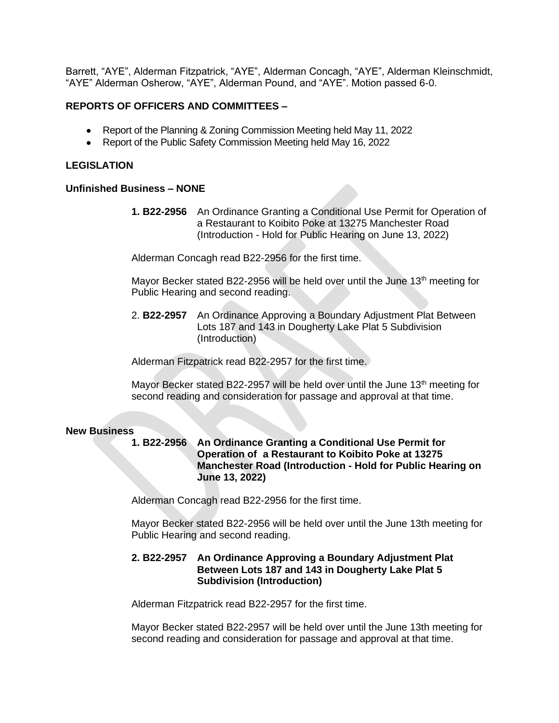Barrett, "AYE", Alderman Fitzpatrick, "AYE", Alderman Concagh, "AYE", Alderman Kleinschmidt, "AYE" Alderman Osherow, "AYE", Alderman Pound, and "AYE". Motion passed 6-0.

### **REPORTS OF OFFICERS AND COMMITTEES –**

- Report of the Planning & Zoning Commission Meeting held May 11, 2022
- Report of the Public Safety Commission Meeting held May 16, 2022

### **LEGISLATION**

#### **Unfinished Business – NONE**

**1. B22-2956** An Ordinance Granting a Conditional Use Permit for Operation of a Restaurant to Koibito Poke at 13275 Manchester Road (Introduction - Hold for Public Hearing on June 13, 2022)

Alderman Concagh read B22-2956 for the first time.

Mayor Becker stated B22-2956 will be held over until the June  $13<sup>th</sup>$  meeting for Public Hearing and second reading.

2. **B22-2957** An Ordinance Approving a Boundary Adjustment Plat Between Lots 187 and 143 in Dougherty Lake Plat 5 Subdivision (Introduction)

Alderman Fitzpatrick read B22-2957 for the first time.

Mayor Becker stated B22-2957 will be held over until the June  $13<sup>th</sup>$  meeting for second reading and consideration for passage and approval at that time.

#### **New Business**

**1. B22-2956 An Ordinance Granting a Conditional Use Permit for Operation of a Restaurant to Koibito Poke at 13275 Manchester Road (Introduction - Hold for Public Hearing on June 13, 2022)**

Alderman Concagh read B22-2956 for the first time.

Mayor Becker stated B22-2956 will be held over until the June 13th meeting for Public Hearing and second reading.

### **2. B22-2957 An Ordinance Approving a Boundary Adjustment Plat Between Lots 187 and 143 in Dougherty Lake Plat 5 Subdivision (Introduction)**

Alderman Fitzpatrick read B22-2957 for the first time.

Mayor Becker stated B22-2957 will be held over until the June 13th meeting for second reading and consideration for passage and approval at that time.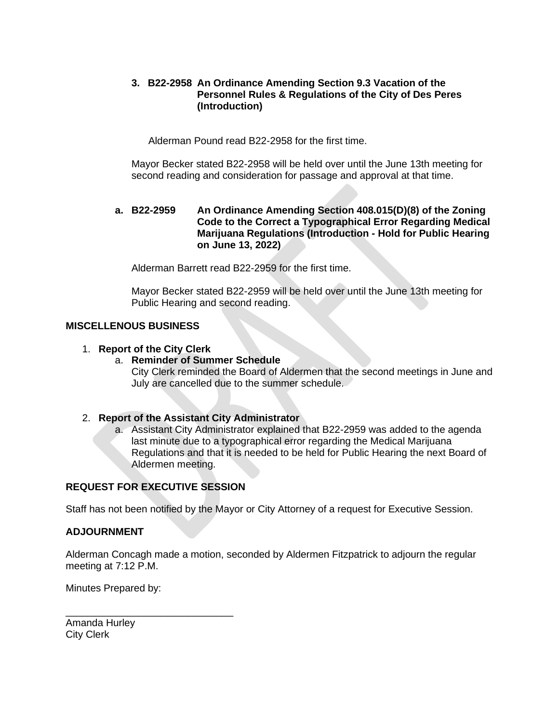### **3. B22-2958 An Ordinance Amending Section 9.3 Vacation of the Personnel Rules & Regulations of the City of Des Peres (Introduction)**

Alderman Pound read B22-2958 for the first time.

Mayor Becker stated B22-2958 will be held over until the June 13th meeting for second reading and consideration for passage and approval at that time.

### **a. B22-2959 An Ordinance Amending Section 408.015(D)(8) of the Zoning Code to the Correct a Typographical Error Regarding Medical Marijuana Regulations (Introduction - Hold for Public Hearing on June 13, 2022)**

Alderman Barrett read B22-2959 for the first time.

Mayor Becker stated B22-2959 will be held over until the June 13th meeting for Public Hearing and second reading.

# **MISCELLENOUS BUSINESS**

### 1. **Report of the City Clerk**

#### a. **Reminder of Summer Schedule**

City Clerk reminded the Board of Aldermen that the second meetings in June and July are cancelled due to the summer schedule.

#### 2. **Report of the Assistant City Administrator**

a. Assistant City Administrator explained that B22-2959 was added to the agenda last minute due to a typographical error regarding the Medical Marijuana Regulations and that it is needed to be held for Public Hearing the next Board of Aldermen meeting.

# **REQUEST FOR EXECUTIVE SESSION**

\_\_\_\_\_\_\_\_\_\_\_\_\_\_\_\_\_\_\_\_\_\_\_\_\_\_\_\_\_\_

Staff has not been notified by the Mayor or City Attorney of a request for Executive Session.

#### **ADJOURNMENT**

Alderman Concagh made a motion, seconded by Aldermen Fitzpatrick to adjourn the regular meeting at 7:12 P.M.

Minutes Prepared by:

Amanda Hurley City Clerk